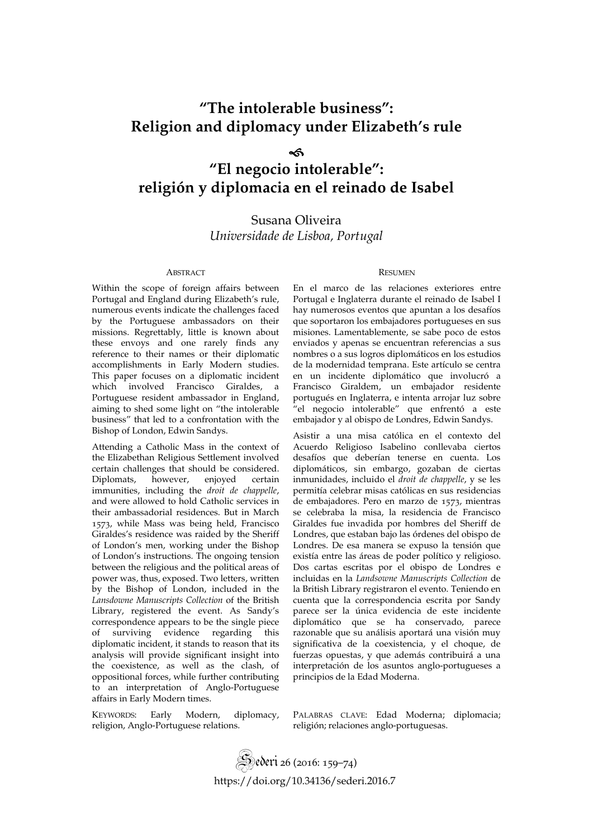# **"The intolerable business": Religion and diplomacy under Elizabeth's rule**

# sk.

# **"El negocio intolerable": religión y diplomacia en el reinado de Isabel**

# Susana Oliveira *Universidade de Lisboa, Portugal*

Within the scope of foreign affairs between Portugal and England during Elizabeth's rule, numerous events indicate the challenges faced by the Portuguese ambassadors on their missions. Regrettably, little is known about these envoys and one rarely finds any reference to their names or their diplomatic accomplishments in Early Modern studies. This paper focuses on a diplomatic incident<br>which involved Francisco Giraldes, a which involved Francisco Portuguese resident ambassador in England, aiming to shed some light on "the intolerable business" that led to a confrontation with the Bishop of London, Edwin Sandys.

Attending a Catholic Mass in the context of the Elizabethan Religious Settlement involved certain challenges that should be considered. Diplomats, however, enjoyed certain immunities, including the *droit de chappelle*, and were allowed to hold Catholic services in their ambassadorial residences. But in March 1573, while Mass was being held, Francisco Giraldes's residence was raided by the Sheriff of London's men, working under the Bishop of London's instructions. The ongoing tension between the religious and the political areas of power was, thus, exposed. Two letters, written by the Bishop of London, included in the *Lansdowne Manuscripts Collection* of the British Library, registered the event. As Sandy's correspondence appears to be the single piece of surviving evidence regarding this diplomatic incident, it stands to reason that its analysis will provide significant insight into the coexistence, as well as the clash, of oppositional forces, while further contributing to an interpretation of Anglo-Portuguese affairs in Early Modern times.

KEYWORDS: Early Modern, diplomacy, religion, Anglo-Portuguese relations.

### ABSTRACT RESUMEN

En el marco de las relaciones exteriores entre Portugal e Inglaterra durante el reinado de Isabel I hay numerosos eventos que apuntan a los desafíos que soportaron los embajadores portugueses en sus misiones. Lamentablemente, se sabe poco de estos enviados y apenas se encuentran referencias a sus nombres o a sus logros diplomáticos en los estudios de la modernidad temprana. Este artículo se centra en un incidente diplomático que involucró a Francisco Giraldem, un embajador residente portugués en Inglaterra, e intenta arrojar luz sobre "el negocio intolerable" que enfrentó a este embajador y al obispo de Londres, Edwin Sandys.

Asistir a una misa católica en el contexto del Acuerdo Religioso Isabelino conllevaba ciertos desafíos que deberían tenerse en cuenta. Los diplomáticos, sin embargo, gozaban de ciertas inmunidades, incluido el *droit de chappelle*, y se les permitía celebrar misas católicas en sus residencias de embajadores. Pero en marzo de 1573, mientras se celebraba la misa, la residencia de Francisco Giraldes fue invadida por hombres del Sheriff de Londres, que estaban bajo las órdenes del obispo de Londres. De esa manera se expuso la tensión que existía entre las áreas de poder político y religioso. Dos cartas escritas por el obispo de Londres e incluidas en la *Landsowne Manuscripts Collection* de la British Library registraron el evento. Teniendo en cuenta que la correspondencia escrita por Sandy parece ser la única evidencia de este incidente diplomático que se ha conservado, parece razonable que su análisis aportará una visión muy significativa de la coexistencia, y el choque, de fuerzas opuestas, y que además contribuirá a una interpretación de los asuntos anglo-portugueses a principios de la Edad Moderna.

PALABRAS CLAVE: Edad Moderna; diplomacia; religión; relaciones anglo-portuguesas.

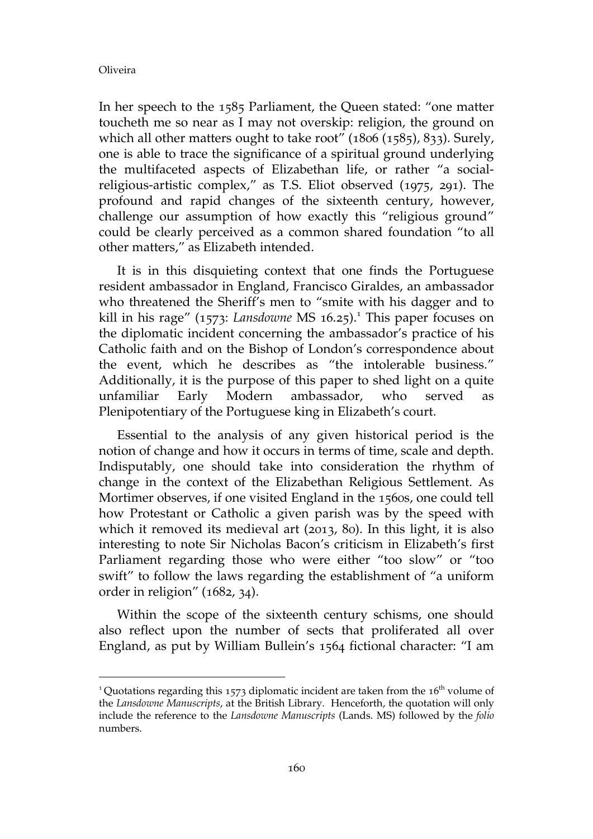$\overline{a}$ 

In her speech to the 1585 Parliament, the Queen stated: "one matter toucheth me so near as I may not overskip: religion, the ground on which all other matters ought to take root" (1806 (1585), 833). Surely, one is able to trace the significance of a spiritual ground underlying the multifaceted aspects of Elizabethan life, or rather "a socialreligious-artistic complex," as T.S. Eliot observed (1975, 291). The profound and rapid changes of the sixteenth century, however, challenge our assumption of how exactly this "religious ground" could be clearly perceived as a common shared foundation "to all other matters," as Elizabeth intended.

It is in this disquieting context that one finds the Portuguese resident ambassador in England, Francisco Giraldes, an ambassador who threatened the Sheriff's men to "smite with his dagger and to kill in his rage" (1573: Lansdowne MS 16.25).<sup>1</sup> This paper focuses on the diplomatic incident concerning the ambassador's practice of his Catholic faith and on the Bishop of London's correspondence about the event, which he describes as "the intolerable business." Additionally, it is the purpose of this paper to shed light on a quite unfamiliar Early Modern ambassador, who served as Plenipotentiary of the Portuguese king in Elizabeth's court.

Essential to the analysis of any given historical period is the notion of change and how it occurs in terms of time, scale and depth. Indisputably, one should take into consideration the rhythm of change in the context of the Elizabethan Religious Settlement. As Mortimer observes, if one visited England in the 1560s, one could tell how Protestant or Catholic a given parish was by the speed with which it removed its medieval art (2013, 80). In this light, it is also interesting to note Sir Nicholas Bacon's criticism in Elizabeth's first Parliament regarding those who were either "too slow" or "too swift" to follow the laws regarding the establishment of "a uniform order in religion" (1682, 34).

Within the scope of the sixteenth century schisms, one should also reflect upon the number of sects that proliferated all over England, as put by William Bullein's 1564 fictional character: "I am

<sup>&</sup>lt;sup>1</sup> Quotations regarding this 1573 diplomatic incident are taken from the 16<sup>th</sup> volume of the *Lansdowne Manuscripts*, at the British Library. Henceforth, the quotation will only include the reference to the *Lansdowne Manuscripts* (Lands. MS) followed by the *folio* numbers.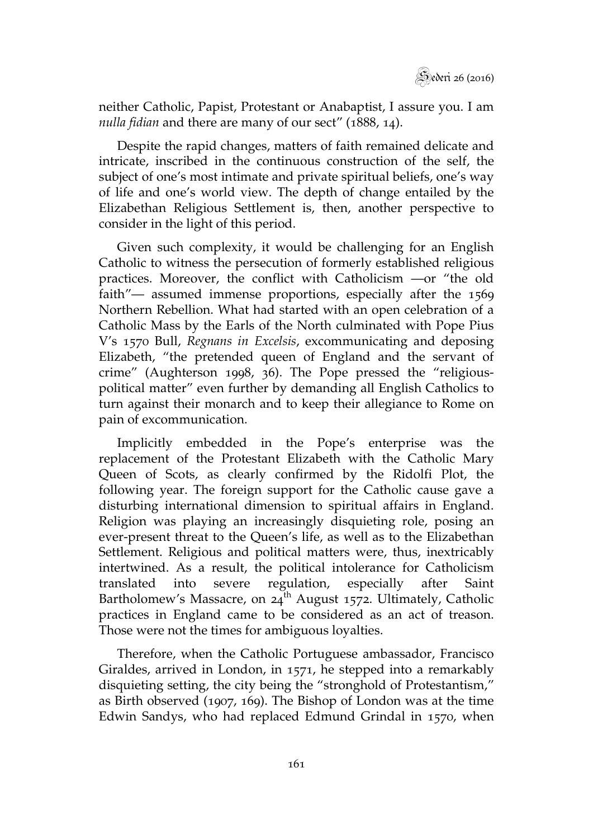neither Catholic, Papist, Protestant or Anabaptist, I assure you. I am *nulla fidian* and there are many of our sect" (1888, 14).

Despite the rapid changes, matters of faith remained delicate and intricate, inscribed in the continuous construction of the self, the subject of one's most intimate and private spiritual beliefs, one's way of life and one's world view. The depth of change entailed by the Elizabethan Religious Settlement is, then, another perspective to consider in the light of this period.

Given such complexity, it would be challenging for an English Catholic to witness the persecution of formerly established religious practices. Moreover, the conflict with Catholicism —or "the old faith"— assumed immense proportions, especially after the 1569 Northern Rebellion. What had started with an open celebration of a Catholic Mass by the Earls of the North culminated with Pope Pius V's 1570 Bull, *Regnans in Excelsis*, excommunicating and deposing Elizabeth, "the pretended queen of England and the servant of crime" (Aughterson 1998, 36). The Pope pressed the "religiouspolitical matter" even further by demanding all English Catholics to turn against their monarch and to keep their allegiance to Rome on pain of excommunication.

Implicitly embedded in the Pope's enterprise was the replacement of the Protestant Elizabeth with the Catholic Mary Queen of Scots, as clearly confirmed by the Ridolfi Plot, the following year. The foreign support for the Catholic cause gave a disturbing international dimension to spiritual affairs in England. Religion was playing an increasingly disquieting role, posing an ever-present threat to the Queen's life, as well as to the Elizabethan Settlement. Religious and political matters were, thus, inextricably intertwined. As a result, the political intolerance for Catholicism translated into severe regulation, especially after Saint Bartholomew's Massacre, on  $24^{th}$  August 1572. Ultimately, Catholic practices in England came to be considered as an act of treason. Those were not the times for ambiguous loyalties.

Therefore, when the Catholic Portuguese ambassador, Francisco Giraldes, arrived in London, in 1571, he stepped into a remarkably disquieting setting, the city being the "stronghold of Protestantism," as Birth observed (1907, 169). The Bishop of London was at the time Edwin Sandys, who had replaced Edmund Grindal in 1570, when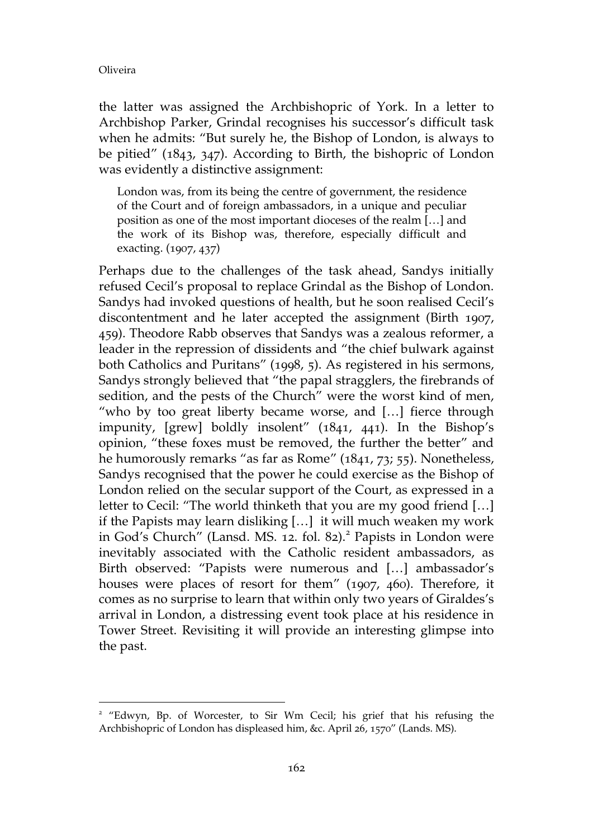$\overline{a}$ 

the latter was assigned the Archbishopric of York. In a letter to Archbishop Parker, Grindal recognises his successor's difficult task when he admits: "But surely he, the Bishop of London, is always to be pitied" (1843, 347). According to Birth, the bishopric of London was evidently a distinctive assignment:

London was, from its being the centre of government, the residence of the Court and of foreign ambassadors, in a unique and peculiar position as one of the most important dioceses of the realm […] and the work of its Bishop was, therefore, especially difficult and exacting. (1907, 437)

Perhaps due to the challenges of the task ahead, Sandys initially refused Cecil's proposal to replace Grindal as the Bishop of London. Sandys had invoked questions of health, but he soon realised Cecil's discontentment and he later accepted the assignment (Birth 1907, 459). Theodore Rabb observes that Sandys was a zealous reformer, a leader in the repression of dissidents and "the chief bulwark against both Catholics and Puritans" (1998, 5). As registered in his sermons, Sandys strongly believed that "the papal stragglers, the firebrands of sedition, and the pests of the Church" were the worst kind of men, "who by too great liberty became worse, and […] fierce through impunity, [grew] boldly insolent" (1841, 441). In the Bishop's opinion, "these foxes must be removed, the further the better" and he humorously remarks "as far as Rome" (1841, 73; 55). Nonetheless, Sandys recognised that the power he could exercise as the Bishop of London relied on the secular support of the Court, as expressed in a letter to Cecil: "The world thinketh that you are my good friend […] if the Papists may learn disliking […] it will much weaken my work in God's Church" (Lansd. MS. 12. fol. 82).<sup>2</sup> Papists in London were inevitably associated with the Catholic resident ambassadors, as Birth observed: "Papists were numerous and […] ambassador's houses were places of resort for them" (1907, 460). Therefore, it comes as no surprise to learn that within only two years of Giraldes's arrival in London, a distressing event took place at his residence in Tower Street. Revisiting it will provide an interesting glimpse into the past.

<sup>&</sup>lt;sup>2</sup> "Edwyn, Bp. of Worcester, to Sir Wm Cecil; his grief that his refusing the Archbishopric of London has displeased him, &c. April 26, 1570" (Lands. MS).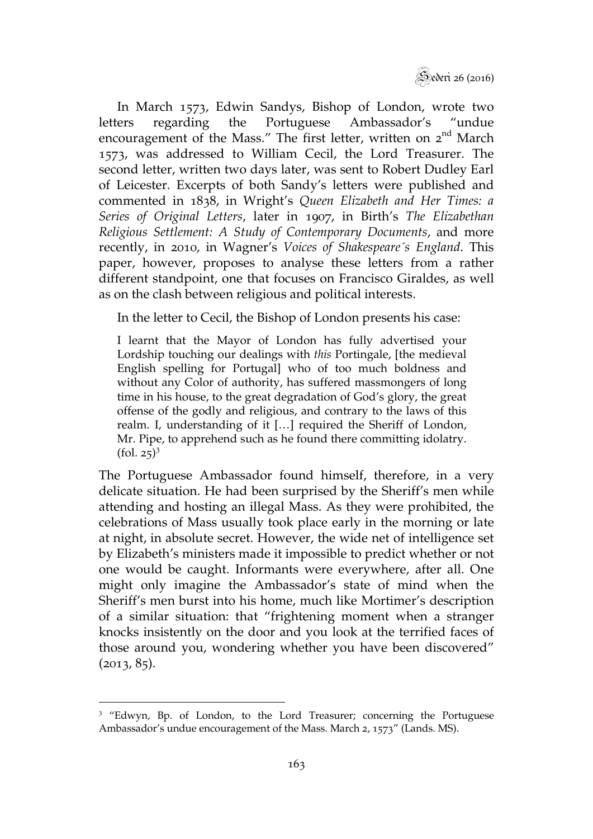Sederi 26 (2016)

In March 1573, Edwin Sandys, Bishop of London, wrote two letters regarding the Portuguese Ambassador's "undue encouragement of the Mass." The first letter, written on 2<sup>nd</sup> March 1573, was addressed to William Cecil, the Lord Treasurer. The second letter, written two days later, was sent to Robert Dudley Earl of Leicester. Excerpts of both Sandy's letters were published and commented in 1838, in Wright's *Queen Elizabeth and Her Times: a Series of Original Letters*, later in 1907, in Birth's *The Elizabethan Religious Settlement: A Study of Contemporary Documents*, and more recently, in 2010, in Wagner's *Voices of Shakespeare´s England*. This paper, however, proposes to analyse these letters from a rather different standpoint, one that focuses on Francisco Giraldes, as well as on the clash between religious and political interests.

In the letter to Cecil, the Bishop of London presents his case:

I learnt that the Mayor of London has fully advertised your Lordship touching our dealings with *this* Portingale, [the medieval English spelling for Portugal] who of too much boldness and without any Color of authority, has suffered massmongers of long time in his house, to the great degradation of God's glory, the great offense of the godly and religious, and contrary to the laws of this realm. I, understanding of it […] required the Sheriff of London, Mr. Pipe, to apprehend such as he found there committing idolatry.  $(fol. 25)^3$ 

The Portuguese Ambassador found himself, therefore, in a very delicate situation. He had been surprised by the Sheriff's men while attending and hosting an illegal Mass. As they were prohibited, the celebrations of Mass usually took place early in the morning or late at night, in absolute secret. However, the wide net of intelligence set by Elizabeth's ministers made it impossible to predict whether or not one would be caught. Informants were everywhere, after all. One might only imagine the Ambassador's state of mind when the Sheriff's men burst into his home, much like Mortimer's description of a similar situation: that "frightening moment when a stranger knocks insistently on the door and you look at the terrified faces of those around you, wondering whether you have been discovered" (2013, 85).

 $\overline{a}$ <sup>3</sup> "Edwyn, Bp. of London, to the Lord Treasurer; concerning the Portuguese Ambassador's undue encouragement of the Mass. March 2, 1573" (Lands. MS).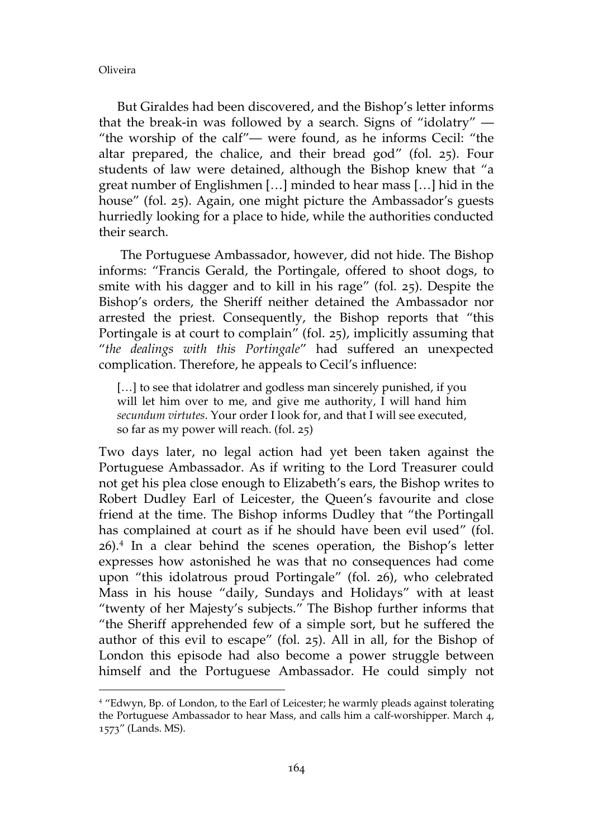$\overline{a}$ 

But Giraldes had been discovered, and the Bishop's letter informs that the break-in was followed by a search. Signs of "idolatry" — "the worship of the calf"— were found, as he informs Cecil: "the altar prepared, the chalice, and their bread god" (fol. 25). Four students of law were detained, although the Bishop knew that "a great number of Englishmen […] minded to hear mass […] hid in the house" (fol. 25). Again, one might picture the Ambassador's guests hurriedly looking for a place to hide, while the authorities conducted their search.

 The Portuguese Ambassador, however, did not hide. The Bishop informs: "Francis Gerald, the Portingale, offered to shoot dogs, to smite with his dagger and to kill in his rage" (fol. 25). Despite the Bishop's orders, the Sheriff neither detained the Ambassador nor arrested the priest. Consequently, the Bishop reports that "this Portingale is at court to complain" (fol. 25), implicitly assuming that "*the dealings with this Portingale*" had suffered an unexpected complication. Therefore, he appeals to Cecil's influence:

[...] to see that idolatrer and godless man sincerely punished, if you will let him over to me, and give me authority, I will hand him *secundum virtutes*. Your order I look for, and that I will see executed, so far as my power will reach. (fol. 25)

Two days later, no legal action had yet been taken against the Portuguese Ambassador. As if writing to the Lord Treasurer could not get his plea close enough to Elizabeth's ears, the Bishop writes to Robert Dudley Earl of Leicester, the Queen's favourite and close friend at the time. The Bishop informs Dudley that "the Portingall has complained at court as if he should have been evil used" (fol. 26).<sup>4</sup> In a clear behind the scenes operation, the Bishop's letter expresses how astonished he was that no consequences had come upon "this idolatrous proud Portingale" (fol. 26), who celebrated Mass in his house "daily, Sundays and Holidays" with at least "twenty of her Majesty's subjects." The Bishop further informs that "the Sheriff apprehended few of a simple sort, but he suffered the author of this evil to escape" (fol. 25). All in all, for the Bishop of London this episode had also become a power struggle between himself and the Portuguese Ambassador. He could simply not

<sup>4</sup> "Edwyn, Bp. of London, to the Earl of Leicester; he warmly pleads against tolerating the Portuguese Ambassador to hear Mass, and calls him a calf-worshipper. March 4, 1573" (Lands. MS).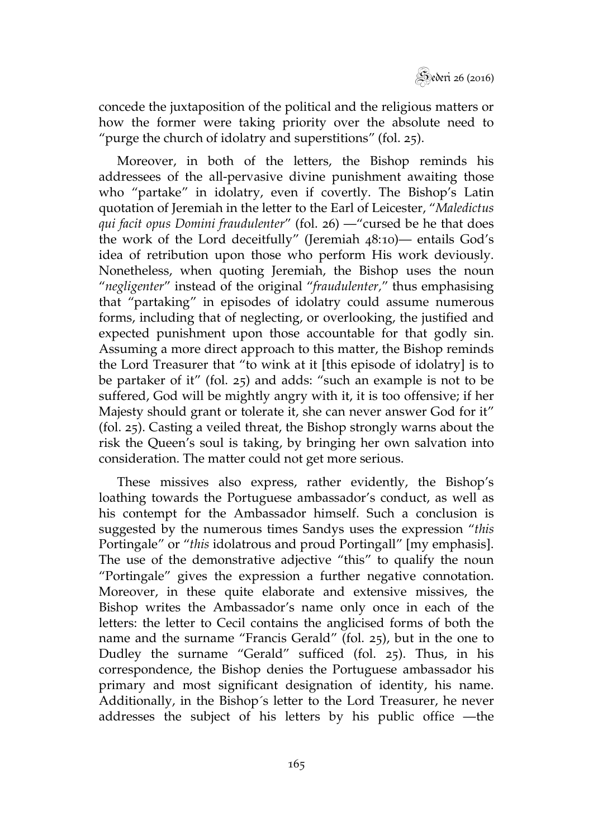

concede the juxtaposition of the political and the religious matters or how the former were taking priority over the absolute need to "purge the church of idolatry and superstitions" (fol. 25).

Moreover, in both of the letters, the Bishop reminds his addressees of the all-pervasive divine punishment awaiting those who "partake" in idolatry, even if covertly. The Bishop's Latin quotation of Jeremiah in the letter to the Earl of Leicester, "*Maledictus qui facit opus Domini fraudulenter*" (fol. 26) —"cursed be he that does the work of the Lord deceitfully" (Jeremiah 48:10)— entails God's idea of retribution upon those who perform His work deviously. Nonetheless, when quoting Jeremiah, the Bishop uses the noun "*negligenter*" instead of the original "*fraudulenter,*" thus emphasising that "partaking" in episodes of idolatry could assume numerous forms, including that of neglecting, or overlooking, the justified and expected punishment upon those accountable for that godly sin. Assuming a more direct approach to this matter, the Bishop reminds the Lord Treasurer that "to wink at it [this episode of idolatry] is to be partaker of it" (fol. 25) and adds: "such an example is not to be suffered, God will be mightly angry with it, it is too offensive; if her Majesty should grant or tolerate it, she can never answer God for it" (fol. 25). Casting a veiled threat, the Bishop strongly warns about the risk the Queen's soul is taking, by bringing her own salvation into consideration. The matter could not get more serious.

These missives also express, rather evidently, the Bishop's loathing towards the Portuguese ambassador's conduct, as well as his contempt for the Ambassador himself. Such a conclusion is suggested by the numerous times Sandys uses the expression "*this* Portingale" or "*this* idolatrous and proud Portingall" [my emphasis]. The use of the demonstrative adjective "this" to qualify the noun "Portingale" gives the expression a further negative connotation. Moreover, in these quite elaborate and extensive missives, the Bishop writes the Ambassador's name only once in each of the letters: the letter to Cecil contains the anglicised forms of both the name and the surname "Francis Gerald" (fol. 25), but in the one to Dudley the surname "Gerald" sufficed (fol. 25). Thus, in his correspondence, the Bishop denies the Portuguese ambassador his primary and most significant designation of identity, his name. Additionally, in the Bishop´s letter to the Lord Treasurer, he never addresses the subject of his letters by his public office —the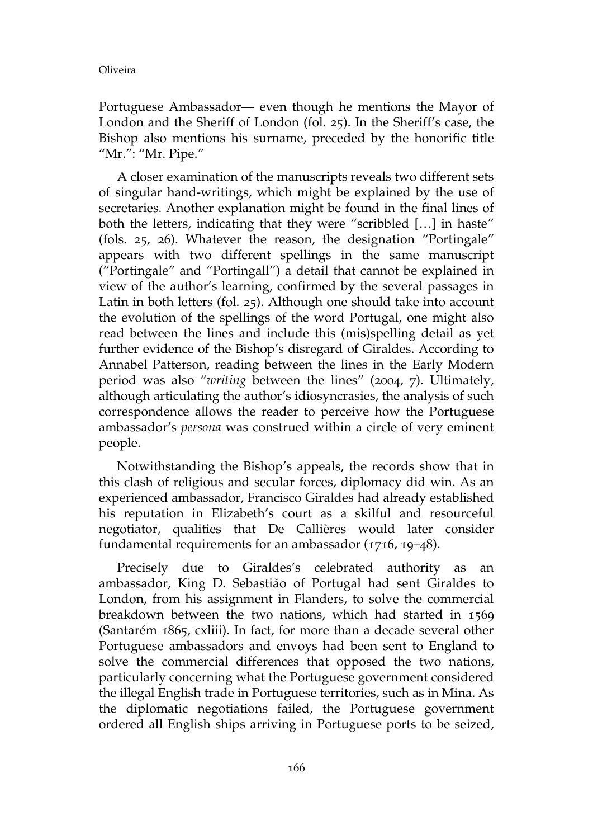Portuguese Ambassador— even though he mentions the Mayor of London and the Sheriff of London (fol. 25). In the Sheriff's case, the Bishop also mentions his surname, preceded by the honorific title "Mr.": "Mr. Pipe."

A closer examination of the manuscripts reveals two different sets of singular hand-writings, which might be explained by the use of secretaries. Another explanation might be found in the final lines of both the letters, indicating that they were "scribbled […] in haste" (fols. 25, 26). Whatever the reason, the designation "Portingale" appears with two different spellings in the same manuscript ("Portingale" and "Portingall") a detail that cannot be explained in view of the author's learning, confirmed by the several passages in Latin in both letters (fol. 25). Although one should take into account the evolution of the spellings of the word Portugal, one might also read between the lines and include this (mis)spelling detail as yet further evidence of the Bishop's disregard of Giraldes. According to Annabel Patterson, reading between the lines in the Early Modern period was also "*writing* between the lines" (2004, 7). Ultimately, although articulating the author's idiosyncrasies, the analysis of such correspondence allows the reader to perceive how the Portuguese ambassador's *persona* was construed within a circle of very eminent people.

Notwithstanding the Bishop's appeals, the records show that in this clash of religious and secular forces, diplomacy did win. As an experienced ambassador, Francisco Giraldes had already established his reputation in Elizabeth's court as a skilful and resourceful negotiator, qualities that De Callières would later consider fundamental requirements for an ambassador (1716, 19–48).

Precisely due to Giraldes's celebrated authority as an ambassador, King D. Sebastião of Portugal had sent Giraldes to London, from his assignment in Flanders, to solve the commercial breakdown between the two nations, which had started in 1569 (Santarém 1865, cxliii). In fact, for more than a decade several other Portuguese ambassadors and envoys had been sent to England to solve the commercial differences that opposed the two nations, particularly concerning what the Portuguese government considered the illegal English trade in Portuguese territories, such as in Mina. As the diplomatic negotiations failed, the Portuguese government ordered all English ships arriving in Portuguese ports to be seized,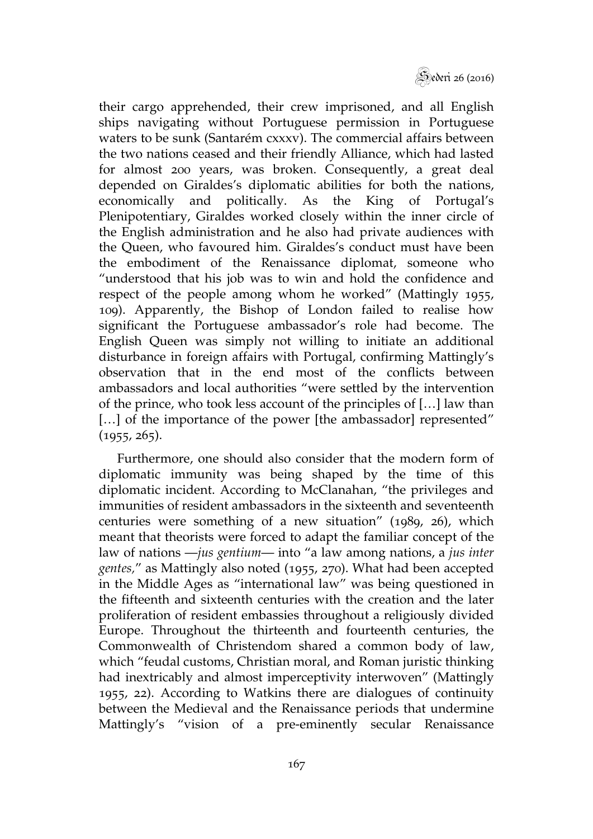Sederi 26 (2016)

their cargo apprehended, their crew imprisoned, and all English ships navigating without Portuguese permission in Portuguese waters to be sunk (Santarém cxxxv). The commercial affairs between the two nations ceased and their friendly Alliance, which had lasted for almost 200 years, was broken. Consequently, a great deal depended on Giraldes's diplomatic abilities for both the nations, economically and politically. As the King of Portugal's Plenipotentiary, Giraldes worked closely within the inner circle of the English administration and he also had private audiences with the Queen, who favoured him. Giraldes's conduct must have been the embodiment of the Renaissance diplomat, someone who "understood that his job was to win and hold the confidence and respect of the people among whom he worked" (Mattingly 1955, 109). Apparently, the Bishop of London failed to realise how significant the Portuguese ambassador's role had become. The English Queen was simply not willing to initiate an additional disturbance in foreign affairs with Portugal, confirming Mattingly's observation that in the end most of the conflicts between ambassadors and local authorities "were settled by the intervention of the prince, who took less account of the principles of […] law than [...] of the importance of the power [the ambassador] represented" (1955, 265).

Furthermore, one should also consider that the modern form of diplomatic immunity was being shaped by the time of this diplomatic incident. According to McClanahan, "the privileges and immunities of resident ambassadors in the sixteenth and seventeenth centuries were something of a new situation" (1989, 26), which meant that theorists were forced to adapt the familiar concept of the law of nations —*jus gentium*— into "a law among nations, a *jus inter gentes,*" as Mattingly also noted (1955, 270). What had been accepted in the Middle Ages as "international law" was being questioned in the fifteenth and sixteenth centuries with the creation and the later proliferation of resident embassies throughout a religiously divided Europe. Throughout the thirteenth and fourteenth centuries, the Commonwealth of Christendom shared a common body of law, which "feudal customs, Christian moral, and Roman juristic thinking had inextricably and almost imperceptivity interwoven" (Mattingly 1955, 22). According to Watkins there are dialogues of continuity between the Medieval and the Renaissance periods that undermine Mattingly's "vision of a pre-eminently secular Renaissance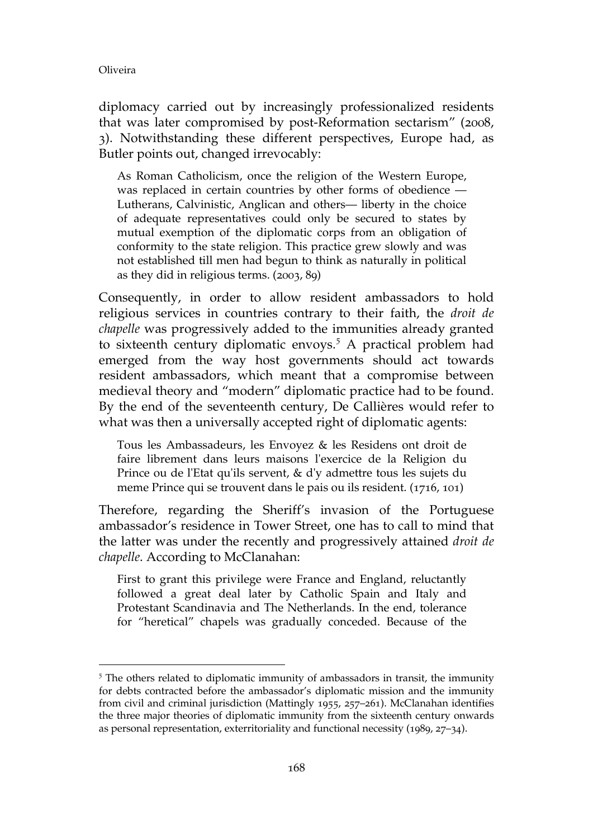$\overline{a}$ 

diplomacy carried out by increasingly professionalized residents that was later compromised by post-Reformation sectarism" (2008, 3). Notwithstanding these different perspectives, Europe had, as Butler points out, changed irrevocably:

As Roman Catholicism, once the religion of the Western Europe, was replaced in certain countries by other forms of obedience — Lutherans, Calvinistic, Anglican and others— liberty in the choice of adequate representatives could only be secured to states by mutual exemption of the diplomatic corps from an obligation of conformity to the state religion. This practice grew slowly and was not established till men had begun to think as naturally in political as they did in religious terms. (2003, 89)

Consequently, in order to allow resident ambassadors to hold religious services in countries contrary to their faith, the *droit de chapelle* was progressively added to the immunities already granted to sixteenth century diplomatic envoys.<sup>5</sup> A practical problem had emerged from the way host governments should act towards resident ambassadors, which meant that a compromise between medieval theory and "modern" diplomatic practice had to be found. By the end of the seventeenth century, De Callières would refer to what was then a universally accepted right of diplomatic agents:

Tous les Ambassadeurs, les Envoyez & les Residens ont droit de faire librement dans leurs maisons l'exercice de la Religion du Prince ou de l'Etat qu'ils servent, & d'y admettre tous les sujets du meme Prince qui se trouvent dans le pais ou ils resident. (1716, 101)

Therefore, regarding the Sheriff's invasion of the Portuguese ambassador's residence in Tower Street, one has to call to mind that the latter was under the recently and progressively attained *droit de chapelle*. According to McClanahan:

First to grant this privilege were France and England, reluctantly followed a great deal later by Catholic Spain and Italy and Protestant Scandinavia and The Netherlands. In the end, tolerance for "heretical" chapels was gradually conceded. Because of the

<sup>&</sup>lt;sup>5</sup> The others related to diplomatic immunity of ambassadors in transit, the immunity for debts contracted before the ambassador's diplomatic mission and the immunity from civil and criminal jurisdiction (Mattingly 1955, 257–261). McClanahan identifies the three major theories of diplomatic immunity from the sixteenth century onwards as personal representation, exterritoriality and functional necessity (1989, 27–34).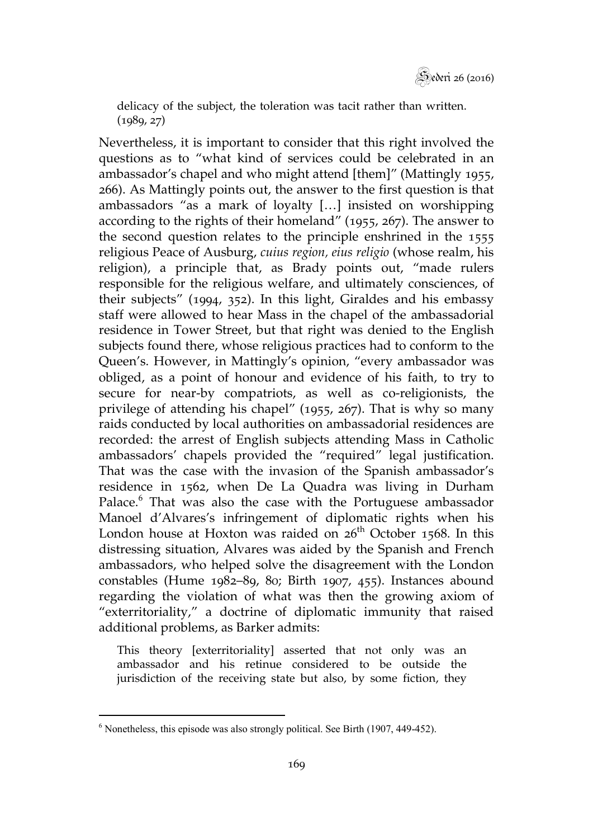delicacy of the subject, the toleration was tacit rather than written.  $(1989, 27)$ 

Nevertheless, it is important to consider that this right involved the questions as to "what kind of services could be celebrated in an ambassador's chapel and who might attend [them]" (Mattingly 1955, 266). As Mattingly points out, the answer to the first question is that ambassadors "as a mark of loyalty […] insisted on worshipping according to the rights of their homeland" (1955, 267). The answer to the second question relates to the principle enshrined in the 1555 religious Peace of Ausburg, *cuius region, eius religio* (whose realm, his religion), a principle that, as Brady points out, "made rulers responsible for the religious welfare, and ultimately consciences, of their subjects" (1994, 352). In this light, Giraldes and his embassy staff were allowed to hear Mass in the chapel of the ambassadorial residence in Tower Street, but that right was denied to the English subjects found there, whose religious practices had to conform to the Queen's. However, in Mattingly's opinion, "every ambassador was obliged, as a point of honour and evidence of his faith, to try to secure for near-by compatriots, as well as co-religionists, the privilege of attending his chapel" (1955, 267). That is why so many raids conducted by local authorities on ambassadorial residences are recorded: the arrest of English subjects attending Mass in Catholic ambassadors' chapels provided the "required" legal justification. That was the case with the invasion of the Spanish ambassador's residence in 1562, when De La Quadra was living in Durham Palace.<sup>6</sup> That was also the case with the Portuguese ambassador Manoel d'Alvares's infringement of diplomatic rights when his London house at Hoxton was raided on  $26<sup>th</sup>$  October 1568. In this distressing situation, Alvares was aided by the Spanish and French ambassadors, who helped solve the disagreement with the London constables (Hume 1982–89, 80; Birth 1907, 455). Instances abound regarding the violation of what was then the growing axiom of "exterritoriality," a doctrine of diplomatic immunity that raised additional problems, as Barker admits:

This theory [exterritoriality] asserted that not only was an ambassador and his retinue considered to be outside the jurisdiction of the receiving state but also, by some fiction, they

 $\overline{a}$  $6$  Nonetheless, this episode was also strongly political. See Birth (1907, 449-452).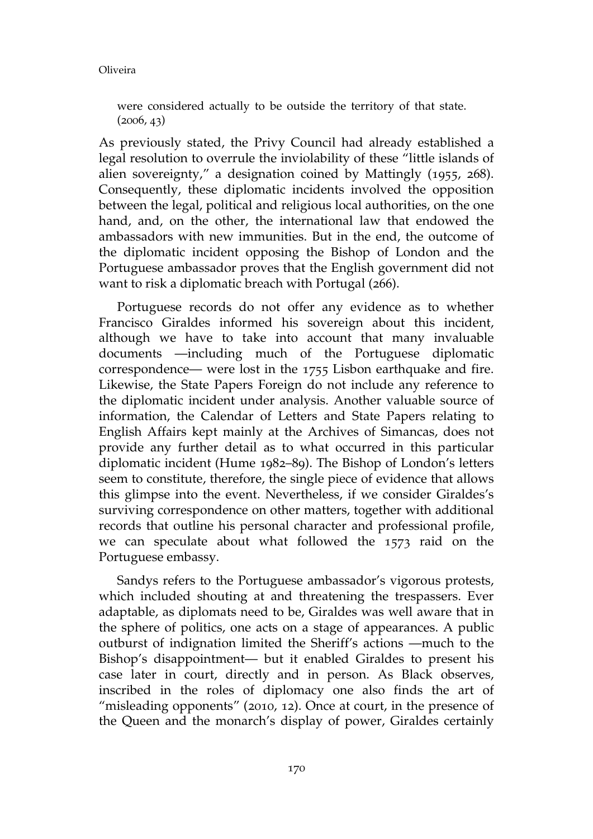were considered actually to be outside the territory of that state.  $(2006, 43)$ 

As previously stated, the Privy Council had already established a legal resolution to overrule the inviolability of these "little islands of alien sovereignty," a designation coined by Mattingly (1955, 268). Consequently, these diplomatic incidents involved the opposition between the legal, political and religious local authorities, on the one hand, and, on the other, the international law that endowed the ambassadors with new immunities. But in the end, the outcome of the diplomatic incident opposing the Bishop of London and the Portuguese ambassador proves that the English government did not want to risk a diplomatic breach with Portugal (266).

Portuguese records do not offer any evidence as to whether Francisco Giraldes informed his sovereign about this incident, although we have to take into account that many invaluable documents —including much of the Portuguese diplomatic correspondence— were lost in the 1755 Lisbon earthquake and fire. Likewise, the State Papers Foreign do not include any reference to the diplomatic incident under analysis. Another valuable source of information, the Calendar of Letters and State Papers relating to English Affairs kept mainly at the Archives of Simancas, does not provide any further detail as to what occurred in this particular diplomatic incident (Hume 1982–89). The Bishop of London's letters seem to constitute, therefore, the single piece of evidence that allows this glimpse into the event. Nevertheless, if we consider Giraldes's surviving correspondence on other matters, together with additional records that outline his personal character and professional profile, we can speculate about what followed the 1573 raid on the Portuguese embassy.

Sandys refers to the Portuguese ambassador's vigorous protests, which included shouting at and threatening the trespassers. Ever adaptable, as diplomats need to be, Giraldes was well aware that in the sphere of politics, one acts on a stage of appearances. A public outburst of indignation limited the Sheriff's actions —much to the Bishop's disappointment— but it enabled Giraldes to present his case later in court, directly and in person. As Black observes, inscribed in the roles of diplomacy one also finds the art of "misleading opponents" (2010, 12). Once at court, in the presence of the Queen and the monarch's display of power, Giraldes certainly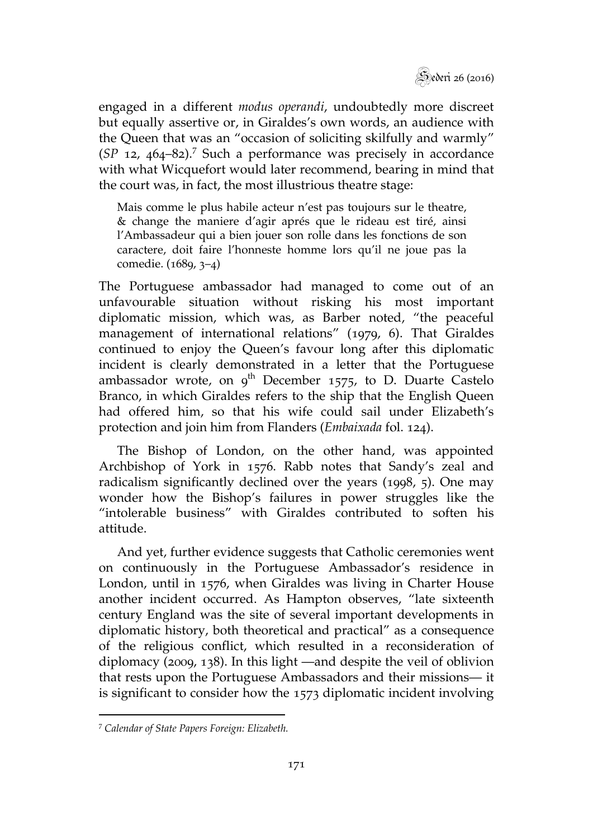

engaged in a different *modus operandi*, undoubtedly more discreet but equally assertive or, in Giraldes's own words, an audience with the Queen that was an "occasion of soliciting skilfully and warmly" (*SP* 12, 464–82).<sup>7</sup> Such a performance was precisely in accordance with what Wicquefort would later recommend, bearing in mind that the court was, in fact, the most illustrious theatre stage:

Mais comme le plus habile acteur n'est pas toujours sur le theatre, & change the maniere d'agir aprés que le rideau est tiré, ainsi l'Ambassadeur qui a bien jouer son rolle dans les fonctions de son caractere, doit faire l'honneste homme lors qu'il ne joue pas la comedie. (1689, 3–4)

The Portuguese ambassador had managed to come out of an unfavourable situation without risking his most important diplomatic mission, which was, as Barber noted, "the peaceful management of international relations" (1979, 6). That Giraldes continued to enjoy the Queen's favour long after this diplomatic incident is clearly demonstrated in a letter that the Portuguese ambassador wrote, on  $9^{th}$  December 1575, to D. Duarte Castelo Branco, in which Giraldes refers to the ship that the English Queen had offered him, so that his wife could sail under Elizabeth's protection and join him from Flanders (*Embaixada* fol. 124).

The Bishop of London, on the other hand, was appointed Archbishop of York in 1576. Rabb notes that Sandy's zeal and radicalism significantly declined over the years (1998, 5). One may wonder how the Bishop's failures in power struggles like the "intolerable business" with Giraldes contributed to soften his attitude.

And yet, further evidence suggests that Catholic ceremonies went on continuously in the Portuguese Ambassador's residence in London, until in 1576, when Giraldes was living in Charter House another incident occurred. As Hampton observes, "late sixteenth century England was the site of several important developments in diplomatic history, both theoretical and practical" as a consequence of the religious conflict, which resulted in a reconsideration of diplomacy (2009, 138). In this light —and despite the veil of oblivion that rests upon the Portuguese Ambassadors and their missions— it is significant to consider how the 1573 diplomatic incident involving

 $\overline{a}$ 

<sup>7</sup> *Calendar of State Papers Foreign: Elizabeth.*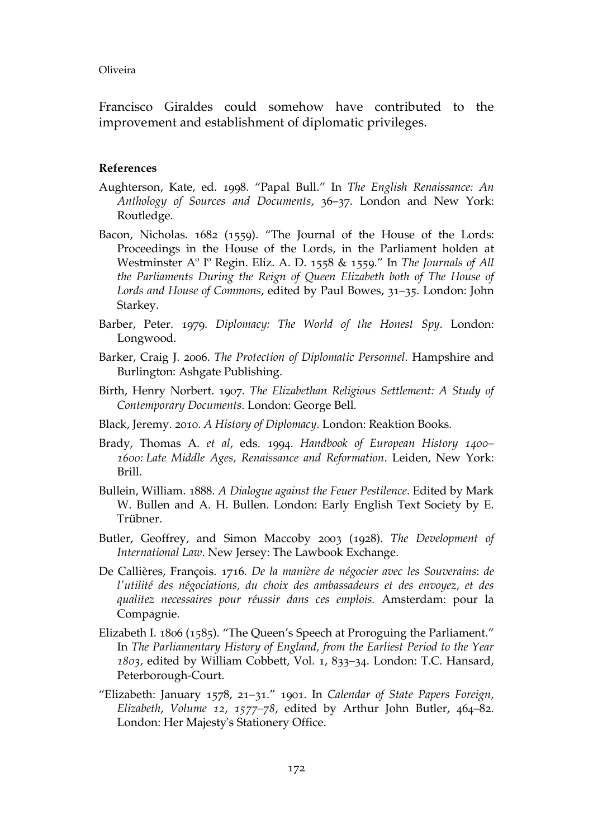Francisco Giraldes could somehow have contributed to the improvement and establishment of diplomatic privileges.

# **References**

- Aughterson, Kate, ed. 1998. "Papal Bull." In *The English Renaissance: An Anthology of Sources and Documents*, 36–37. London and New York: Routledge.
- Bacon, Nicholas. 1682 (1559). "The Journal of the House of the Lords: Proceedings in the House of the Lords, in the Parliament holden at Westminster Aº Iº Regin. Eliz. A. D. 1558 & 1559." In *The Journals of All the Parliaments During the Reign of Queen Elizabeth both of The House of Lords and House of Commons*, edited by Paul Bowes, 31–35. London: John Starkey.
- Barber, Peter. 1979. *Diplomacy: The World of the Honest Spy*. London: Longwood.
- Barker, Craig J. 2006. *The Protection of Diplomatic Personnel*. Hampshire and Burlington: Ashgate Publishing.
- Birth, Henry Norbert. 1907. *The Elizabethan Religious Settlement: A Study of Contemporary Documents*. London: George Bell.
- Black, Jeremy. 2010. *A History of Diplomacy*. London: Reaktion Books.
- Brady, Thomas A. *et al*, eds. 1994. *Handbook of European History 1400– 1600: Late Middle Ages, Renaissance and Reformation*. Leiden, New York: Brill.
- Bullein, William. 1888. *A Dialogue against the Feuer Pestilence*. Edited by Mark W. Bullen and A. H. Bullen. London: Early English Text Society by E. Trübner.
- Butler, Geoffrey, and Simon Maccoby 2003 (1928). *The Development of International Law*. New Jersey: The Lawbook Exchange.
- De Callières, François. 1716. *De la manière de négocier avec les Souverains*: *de l'utilité des négociations, du choix des ambassadeurs et des envoyez, et des qualitez necessaires pour réussir dans ces emplois.* Amsterdam: pour la Compagnie.
- Elizabeth I. 1806 (1585). "The Queen's Speech at Proroguing the Parliament." In *The Parliamentary History of England, from the Earliest Period to the Year 1803*, edited by William Cobbett, Vol. 1, 833–34. London: T.C. Hansard, Peterborough-Court.
- "Elizabeth: January 1578, 21–31." 1901. In *Calendar of State Papers Foreign, Elizabeth*, *Volume 12*, *1577–78*, edited by Arthur John Butler, 464–82. London: Her Majesty's Stationery Office.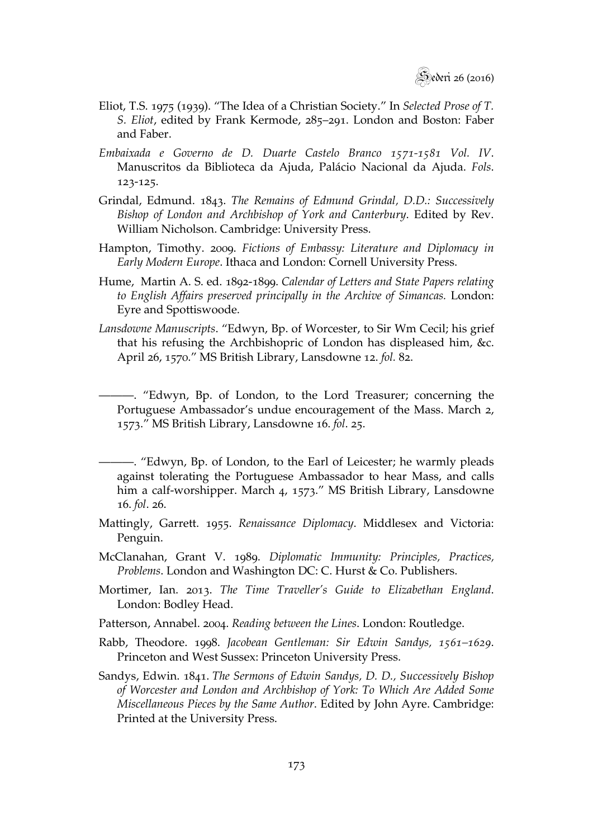- Eliot, T.S. 1975 (1939). "The Idea of a Christian Society." In *Selected Prose of T. S. Eliot*, edited by Frank Kermode, 285–291. London and Boston: Faber and Faber.
- *Embaixada e Governo de D. Duarte Castelo Branco 1571-1581 Vol. IV*. Manuscritos da Biblioteca da Ajuda, Palácio Nacional da Ajuda. *Fols*. 123-125.
- Grindal, Edmund. 1843. *The Remains of Edmund Grindal, D.D.: Successively Bishop of London and Archbishop of York and Canterbury*. Edited by Rev. William Nicholson. Cambridge: University Press.
- Hampton, Timothy. 2009. *Fictions of Embassy: Literature and Diplomacy in Early Modern Europe*. Ithaca and London: Cornell University Press.
- Hume, Martin A. S. ed. 1892-1899. *Calendar of Letters and State Papers relating to English Affairs preserved principally in the Archive of Simancas.* London: Eyre and Spottiswoode.
- *Lansdowne Manuscripts*. "Edwyn, Bp. of Worcester, to Sir Wm Cecil; his grief that his refusing the Archbishopric of London has displeased him, &c. April 26, 1570." MS British Library, Lansdowne 12. *fol.* 82.
	- ———. "Edwyn, Bp. of London, to the Lord Treasurer; concerning the Portuguese Ambassador's undue encouragement of the Mass. March 2, 1573." MS British Library, Lansdowne 16. *fol*. 25.
- ———. "Edwyn, Bp. of London, to the Earl of Leicester; he warmly pleads against tolerating the Portuguese Ambassador to hear Mass, and calls him a calf-worshipper. March 4, 1573." MS British Library, Lansdowne 16. *fol*. 26.
- Mattingly, Garrett. 1955. *Renaissance Diplomacy*. Middlesex and Victoria: Penguin.
- McClanahan, Grant V. 1989. *Diplomatic Immunity: Principles, Practices, Problems*. London and Washington DC: C. Hurst & Co. Publishers.
- Mortimer, Ian. 2013. *The Time Traveller's Guide to Elizabethan England*. London: Bodley Head.
- Patterson, Annabel. 2004. *Reading between the Lines*. London: Routledge.
- Rabb, Theodore. 1998. *Jacobean Gentleman: Sir Edwin Sandys, 1561–1629*. Princeton and West Sussex: Princeton University Press.
- Sandys, Edwin. 1841. *The Sermons of Edwin Sandys, D. D., Successively Bishop of Worcester and London and Archbishop of York: To Which Are Added Some Miscellaneous Pieces by the Same Author*. Edited by John Ayre. Cambridge: Printed at the University Press.